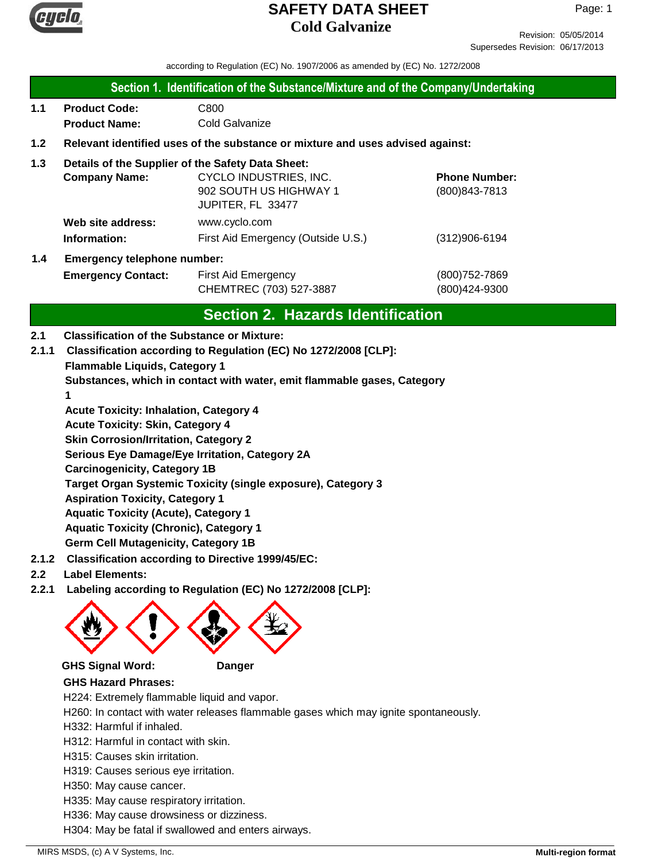

Revision: 05/05/2014 Supersedes Revision: 06/17/2013

according to Regulation (EC) No. 1907/2006 as amended by (EC) No. 1272/2008

### **Section 1. Identification of the Substance/Mixture and of the Company/Undertaking**

**1.1 Product Code:** C800 **Product Name:** Cold Galvanize

## **1.2 Relevant identified uses of the substance or mixture and uses advised against:**

## **1.3 Details of the Supplier of the Safety Data Sheet:**

|     | <b>Company Name:</b>               | CYCLO INDUSTRIES, INC.             | <b>Phone Number:</b> |
|-----|------------------------------------|------------------------------------|----------------------|
|     |                                    | 902 SOUTH US HIGHWAY 1             | (800) 843-7813       |
|     |                                    | JUPITER, FL 33477                  |                      |
|     | Web site address:                  | www.cyclo.com                      |                      |
|     | Information:                       | First Aid Emergency (Outside U.S.) | $(312)906 - 6194$    |
| 1.4 | <b>Emergency telephone number:</b> |                                    |                      |

# **Emergency Contact:** First Aid Emergency **Emergency** (800)752-7869 CHEMTREC (703) 527-3887 (800)424-9300

# **Section 2. Hazards Identification**

### **2.1 Classification of the Substance or Mixture:**

**Flammable Liquids, Category 1 Substances, which in contact with water, emit flammable gases, Category 1 Acute Toxicity: Inhalation, Category 4 Acute Toxicity: Skin, Category 4 Skin Corrosion/Irritation, Category 2 Serious Eye Damage/Eye Irritation, Category 2A Carcinogenicity, Category 1B Target Organ Systemic Toxicity (single exposure), Category 3 Aspiration Toxicity, Category 1 Aquatic Toxicity (Acute), Category 1 2.1.1 Classification according to Regulation (EC) No 1272/2008 [CLP]:**

**Aquatic Toxicity (Chronic), Category 1**

**Germ Cell Mutagenicity, Category 1B**

- **2.1.2 Classification according to Directive 1999/45/EC:**
- **2.2 Label Elements:**
- **2.2.1 Labeling according to Regulation (EC) No 1272/2008 [CLP]:**



### **GHS Signal Word: Danger**



### **GHS Hazard Phrases:**

- H224: Extremely flammable liquid and vapor.
- H260: In contact with water releases flammable gases which may ignite spontaneously.
- H332: Harmful if inhaled.
- H312: Harmful in contact with skin.
- H315: Causes skin irritation.
- H319: Causes serious eye irritation.
- H350: May cause cancer.
- H335: May cause respiratory irritation.
- H336: May cause drowsiness or dizziness.
- H304: May be fatal if swallowed and enters airways.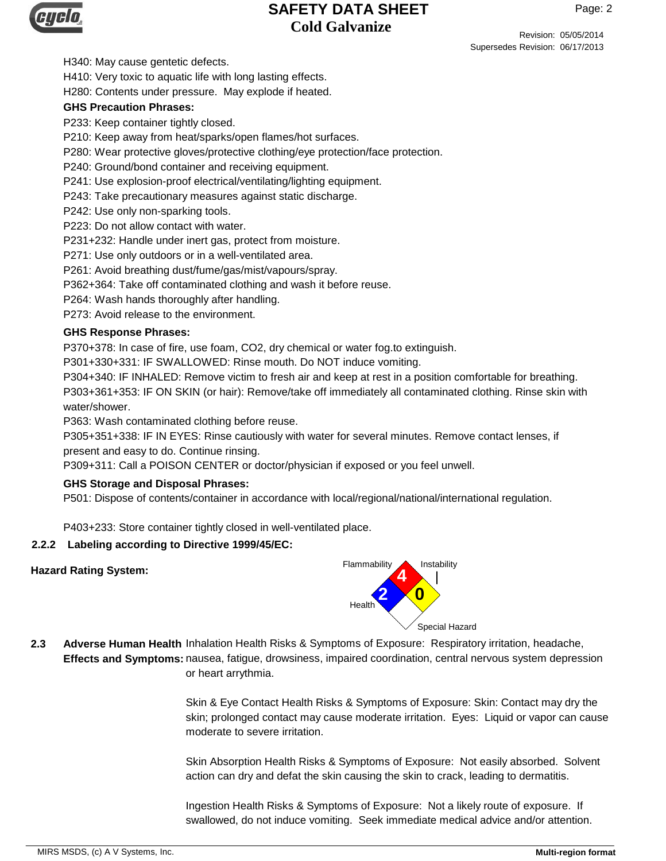Revision: 05/05/2014 Supersedes Revision: 06/17/2013

H340: May cause gentetic defects.

H410: Very toxic to aquatic life with long lasting effects.

H280: Contents under pressure. May explode if heated.

### **GHS Precaution Phrases:**

P233: Keep container tightly closed.

P210: Keep away from heat/sparks/open flames/hot surfaces.

P280: Wear protective gloves/protective clothing/eye protection/face protection.

P240: Ground/bond container and receiving equipment.

P241: Use explosion-proof electrical/ventilating/lighting equipment.

P243: Take precautionary measures against static discharge.

P242: Use only non-sparking tools.

P223: Do not allow contact with water.

P231+232: Handle under inert gas, protect from moisture.

P271: Use only outdoors or in a well-ventilated area.

P261: Avoid breathing dust/fume/gas/mist/vapours/spray.

P362+364: Take off contaminated clothing and wash it before reuse.

P264: Wash hands thoroughly after handling.

P273: Avoid release to the environment.

### **GHS Response Phrases:**

P370+378: In case of fire, use foam, CO2, dry chemical or water fog.to extinguish.

P301+330+331: IF SWALLOWED: Rinse mouth. Do NOT induce vomiting.

P304+340: IF INHALED: Remove victim to fresh air and keep at rest in a position comfortable for breathing. P303+361+353: IF ON SKIN (or hair): Remove/take off immediately all contaminated clothing. Rinse skin with water/shower.

P363: Wash contaminated clothing before reuse.

P305+351+338: IF IN EYES: Rinse cautiously with water for several minutes. Remove contact lenses, if present and easy to do. Continue rinsing.

P309+311: Call a POISON CENTER or doctor/physician if exposed or you feel unwell.

### **GHS Storage and Disposal Phrases:**

P501: Dispose of contents/container in accordance with local/regional/national/international regulation.

P403+233: Store container tightly closed in well-ventilated place.

### **2.2.2 Labeling according to Directive 1999/45/EC:**



2.3 Adverse Human Health Inhalation Health Risks & Symptoms of Exposure: Respiratory irritation, headache, **Effects and Symptoms:** nausea, fatigue, drowsiness, impaired coordination, central nervous system depression or heart arrythmia.

> Skin & Eye Contact Health Risks & Symptoms of Exposure: Skin: Contact may dry the skin; prolonged contact may cause moderate irritation. Eyes: Liquid or vapor can cause moderate to severe irritation.

Skin Absorption Health Risks & Symptoms of Exposure: Not easily absorbed. Solvent action can dry and defat the skin causing the skin to crack, leading to dermatitis.

Ingestion Health Risks & Symptoms of Exposure: Not a likely route of exposure. If swallowed, do not induce vomiting. Seek immediate medical advice and/or attention.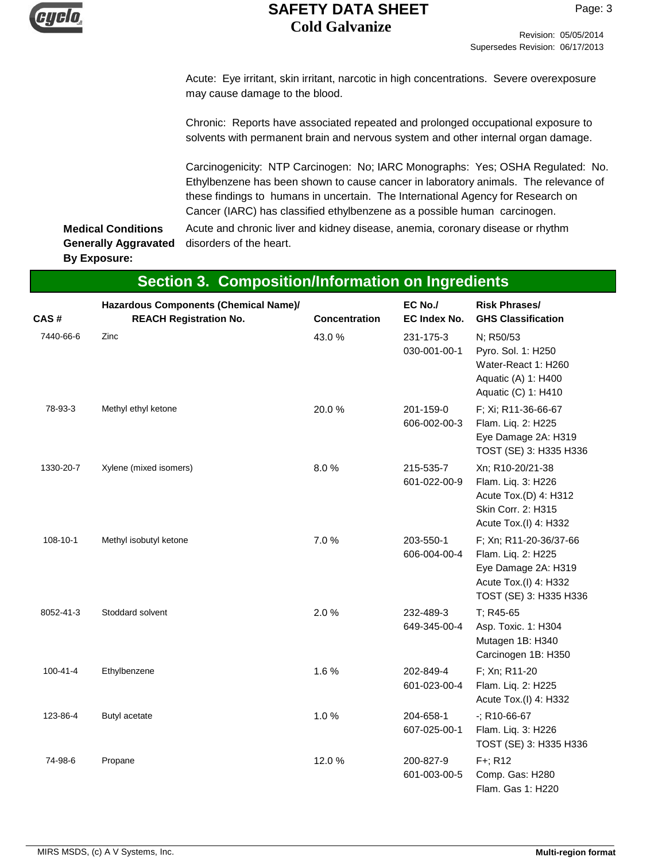

Acute: Eye irritant, skin irritant, narcotic in high concentrations. Severe overexposure may cause damage to the blood.

Chronic: Reports have associated repeated and prolonged occupational exposure to solvents with permanent brain and nervous system and other internal organ damage.

Carcinogenicity: NTP Carcinogen: No; IARC Monographs: Yes; OSHA Regulated: No. Ethylbenzene has been shown to cause cancer in laboratory animals. The relevance of these findings to humans in uncertain. The International Agency for Research on Cancer (IARC) has classified ethylbenzene as a possible human carcinogen.

**Medical Conditions Generally Aggravated By Exposure:**

Acute and chronic liver and kidney disease, anemia, coronary disease or rhythm disorders of the heart.

| <b>Section 3. Composition/Information on Ingredients</b> |                                                                        |               |                                |                                                                                                                        |
|----------------------------------------------------------|------------------------------------------------------------------------|---------------|--------------------------------|------------------------------------------------------------------------------------------------------------------------|
| CAS #                                                    | Hazardous Components (Chemical Name)/<br><b>REACH Registration No.</b> | Concentration | EC No./<br><b>EC Index No.</b> | <b>Risk Phrases/</b><br><b>GHS Classification</b>                                                                      |
| 7440-66-6                                                | Zinc                                                                   | 43.0%         | 231-175-3<br>030-001-00-1      | N; R50/53<br>Pyro. Sol. 1: H250<br>Water-React 1: H260<br>Aquatic (A) 1: H400<br>Aquatic (C) 1: H410                   |
| 78-93-3                                                  | Methyl ethyl ketone                                                    | 20.0%         | 201-159-0<br>606-002-00-3      | F; Xi; R11-36-66-67<br>Flam. Liq. 2: H225<br>Eye Damage 2A: H319<br>TOST (SE) 3: H335 H336                             |
| 1330-20-7                                                | Xylene (mixed isomers)                                                 | 8.0%          | 215-535-7<br>601-022-00-9      | Xn; R10-20/21-38<br>Flam. Liq. 3: H226<br>Acute Tox.(D) 4: H312<br>Skin Corr. 2: H315<br>Acute Tox.(I) 4: H332         |
| 108-10-1                                                 | Methyl isobutyl ketone                                                 | 7.0%          | 203-550-1<br>606-004-00-4      | F; Xn; R11-20-36/37-66<br>Flam. Liq. 2: H225<br>Eye Damage 2A: H319<br>Acute Tox.(I) 4: H332<br>TOST (SE) 3: H335 H336 |
| 8052-41-3                                                | Stoddard solvent                                                       | 2.0%          | 232-489-3<br>649-345-00-4      | T; R45-65<br>Asp. Toxic. 1: H304<br>Mutagen 1B: H340<br>Carcinogen 1B: H350                                            |
| $100 - 41 - 4$                                           | Ethylbenzene                                                           | 1.6%          | 202-849-4<br>601-023-00-4      | F; Xn; R11-20<br>Flam. Liq. 2: H225<br>Acute Tox.(I) 4: H332                                                           |
| 123-86-4                                                 | Butyl acetate                                                          | 1.0%          | 204-658-1<br>607-025-00-1      | $-$ ; R10-66-67<br>Flam. Liq. 3: H226<br>TOST (SE) 3: H335 H336                                                        |
| 74-98-6                                                  | Propane                                                                | 12.0%         | 200-827-9<br>601-003-00-5      | F+; R12<br>Comp. Gas: H280<br>Flam. Gas 1: H220                                                                        |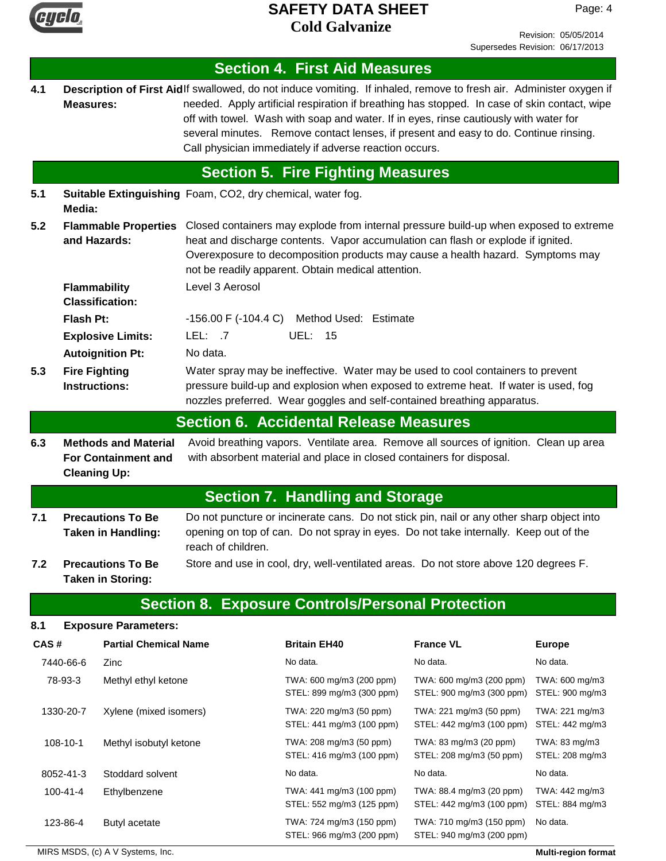

Page: 4

|      |                  |                                                                                  |                                                            | <b>Section 4. First Aid Measures</b>                                                                                                                                                                                                                                                                                                                                                                                                                           |                                                       |                                   |
|------|------------------|----------------------------------------------------------------------------------|------------------------------------------------------------|----------------------------------------------------------------------------------------------------------------------------------------------------------------------------------------------------------------------------------------------------------------------------------------------------------------------------------------------------------------------------------------------------------------------------------------------------------------|-------------------------------------------------------|-----------------------------------|
| 4.1  | <b>Measures:</b> |                                                                                  |                                                            | Description of First Aidlf swallowed, do not induce vomiting. If inhaled, remove to fresh air. Administer oxygen if<br>needed. Apply artificial respiration if breathing has stopped. In case of skin contact, wipe<br>off with towel. Wash with soap and water. If in eyes, rinse cautiously with water for<br>several minutes. Remove contact lenses, if present and easy to do. Continue rinsing.<br>Call physician immediately if adverse reaction occurs. |                                                       |                                   |
|      |                  |                                                                                  |                                                            | <b>Section 5. Fire Fighting Measures</b>                                                                                                                                                                                                                                                                                                                                                                                                                       |                                                       |                                   |
| 5.1  | Media:           |                                                                                  | Suitable Extinguishing Foam, CO2, dry chemical, water fog. |                                                                                                                                                                                                                                                                                                                                                                                                                                                                |                                                       |                                   |
| 5.2  |                  | and Hazards:                                                                     |                                                            | Flammable Properties Closed containers may explode from internal pressure build-up when exposed to extreme<br>heat and discharge contents. Vapor accumulation can flash or explode if ignited.<br>Overexposure to decomposition products may cause a health hazard. Symptoms may<br>not be readily apparent. Obtain medical attention.                                                                                                                         |                                                       |                                   |
|      |                  | <b>Flammability</b><br><b>Classification:</b>                                    | Level 3 Aerosol                                            |                                                                                                                                                                                                                                                                                                                                                                                                                                                                |                                                       |                                   |
|      | Flash Pt:        |                                                                                  |                                                            | -156.00 F (-104.4 C) Method Used: Estimate                                                                                                                                                                                                                                                                                                                                                                                                                     |                                                       |                                   |
|      |                  | <b>Explosive Limits:</b>                                                         | LEL: 7                                                     | <b>UEL: 15</b>                                                                                                                                                                                                                                                                                                                                                                                                                                                 |                                                       |                                   |
|      |                  | <b>Autoignition Pt:</b>                                                          | No data.                                                   |                                                                                                                                                                                                                                                                                                                                                                                                                                                                |                                                       |                                   |
| 5.3  |                  | <b>Fire Fighting</b><br><b>Instructions:</b>                                     |                                                            | Water spray may be ineffective. Water may be used to cool containers to prevent<br>pressure build-up and explosion when exposed to extreme heat. If water is used, fog<br>nozzles preferred. Wear goggles and self-contained breathing apparatus.                                                                                                                                                                                                              |                                                       |                                   |
|      |                  |                                                                                  |                                                            | <b>Section 6. Accidental Release Measures</b>                                                                                                                                                                                                                                                                                                                                                                                                                  |                                                       |                                   |
| 6.3  |                  | <b>Methods and Material</b><br><b>For Containment and</b><br><b>Cleaning Up:</b> |                                                            | Avoid breathing vapors. Ventilate area. Remove all sources of ignition. Clean up area<br>with absorbent material and place in closed containers for disposal.                                                                                                                                                                                                                                                                                                  |                                                       |                                   |
|      |                  |                                                                                  |                                                            | <b>Section 7. Handling and Storage</b>                                                                                                                                                                                                                                                                                                                                                                                                                         |                                                       |                                   |
| 7.1  |                  | <b>Precautions To Be</b><br><b>Taken in Handling:</b>                            | reach of children.                                         | Do not puncture or incinerate cans. Do not stick pin, nail or any other sharp object into<br>opening on top of can. Do not spray in eyes. Do not take internally. Keep out of the                                                                                                                                                                                                                                                                              |                                                       |                                   |
| 7.2  |                  | <b>Precautions To Be</b><br><b>Taken in Storing:</b>                             |                                                            | Store and use in cool, dry, well-ventilated areas. Do not store above 120 degrees F.                                                                                                                                                                                                                                                                                                                                                                           |                                                       |                                   |
|      |                  |                                                                                  |                                                            | <b>Section 8. Exposure Controls/Personal Protection</b>                                                                                                                                                                                                                                                                                                                                                                                                        |                                                       |                                   |
| 8.1  |                  | <b>Exposure Parameters:</b>                                                      |                                                            |                                                                                                                                                                                                                                                                                                                                                                                                                                                                |                                                       |                                   |
| CAS# |                  | <b>Partial Chemical Name</b>                                                     |                                                            | <b>Britain EH40</b>                                                                                                                                                                                                                                                                                                                                                                                                                                            | <b>France VL</b>                                      | <b>Europe</b>                     |
|      | 7440-66-6        | Zinc                                                                             |                                                            | No data.                                                                                                                                                                                                                                                                                                                                                                                                                                                       | No data.                                              | No data.                          |
|      | 78-93-3          | Methyl ethyl ketone                                                              |                                                            | TWA: 600 mg/m3 (200 ppm)<br>STEL: 899 mg/m3 (300 ppm)                                                                                                                                                                                                                                                                                                                                                                                                          | TWA: 600 mg/m3 (200 ppm)<br>STEL: 900 mg/m3 (300 ppm) | TWA: 600 mg/m3<br>STEL: 900 mg/m3 |
|      | 1330-20-7        | Xylene (mixed isomers)                                                           |                                                            | TWA: 220 mg/m3 (50 ppm)<br>STEL: 441 mg/m3 (100 ppm)                                                                                                                                                                                                                                                                                                                                                                                                           | TWA: 221 mg/m3 (50 ppm)<br>STEL: 442 mg/m3 (100 ppm)  | TWA: 221 mg/m3<br>STEL: 442 mg/m3 |
|      | 108-10-1         | Methyl isobutyl ketone                                                           |                                                            | TWA: 208 mg/m3 (50 ppm)<br>STEL: 416 mg/m3 (100 ppm)                                                                                                                                                                                                                                                                                                                                                                                                           | TWA: 83 mg/m3 (20 ppm)<br>STEL: 208 mg/m3 (50 ppm)    | TWA: 83 mg/m3<br>STEL: 208 mg/m3  |
|      | 8052-41-3        | Stoddard solvent                                                                 |                                                            | No data.                                                                                                                                                                                                                                                                                                                                                                                                                                                       | No data.                                              | No data.                          |
|      | 100-41-4         | Ethylbenzene                                                                     |                                                            | TWA: 441 mg/m3 (100 ppm)<br>STEL: 552 mg/m3 (125 ppm)                                                                                                                                                                                                                                                                                                                                                                                                          | TWA: 88.4 mg/m3 (20 ppm)<br>STEL: 442 mg/m3 (100 ppm) | TWA: 442 mg/m3<br>STEL: 884 mg/m3 |
|      | 123-86-4         | Butyl acetate                                                                    |                                                            | TWA: 724 mg/m3 (150 ppm)<br>STEL: 966 mg/m3 (200 ppm)                                                                                                                                                                                                                                                                                                                                                                                                          | TWA: 710 mg/m3 (150 ppm)<br>STEL: 940 mg/m3 (200 ppm) | No data.                          |

MIRS MSDS, (c) A V Systems, Inc. **Multi-region format** Multi-region format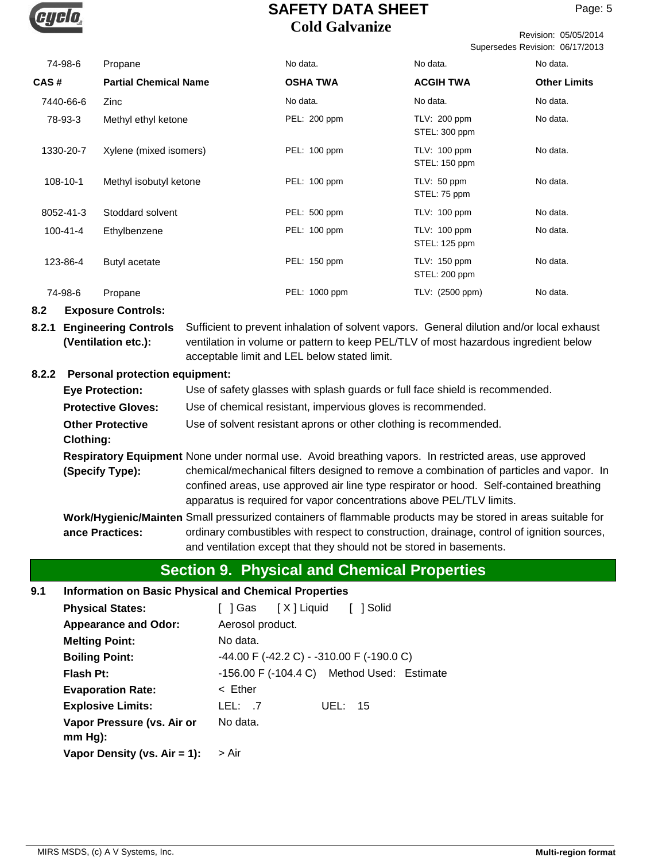

Revision: 05/05/2014 Supersedes Revision: 06/17/2013

| 74-98-6        | Propane                      | No data.        | No data.                             | No data.            |
|----------------|------------------------------|-----------------|--------------------------------------|---------------------|
| CAS#           | <b>Partial Chemical Name</b> | <b>OSHA TWA</b> | <b>ACGIH TWA</b>                     | <b>Other Limits</b> |
| 7440-66-6      | Zinc                         | No data.        | No data.                             | No data.            |
| 78-93-3        | Methyl ethyl ketone          | PEL: 200 ppm    | $TLV: 200$ ppm<br>STEL: 300 ppm      | No data.            |
| 1330-20-7      | Xylene (mixed isomers)       | PEL: 100 ppm    | <b>TLV: 100 ppm</b><br>STEL: 150 ppm | No data.            |
| 108-10-1       | Methyl isobutyl ketone       | PEL: 100 ppm    | TLV: 50 ppm<br>STEL: 75 ppm          | No data.            |
| 8052-41-3      | Stoddard solvent             | PEL: 500 ppm    | TLV: 100 ppm                         | No data.            |
| $100 - 41 - 4$ | Ethylbenzene                 | PEL: 100 ppm    | <b>TLV: 100 ppm</b><br>STEL: 125 ppm | No data.            |
| 123-86-4       | Butyl acetate                | PEL: 150 ppm    | TLV: 150 ppm<br>STEL: 200 ppm        | No data.            |
| 74-98-6        | Propane                      | PEL: 1000 ppm   | TLV: (2500 ppm)                      | No data.            |

### **8.2 Exposure Controls:**

**8.2.1 Engineering Controls** Sufficient to prevent inhalation of solvent vapors. General dilution and/or local exhaust ventilation in volume or pattern to keep PEL/TLV of most hazardous ingredient below acceptable limit and LEL below stated limit. **(Ventilation etc.):**

### **8.2.2 Personal protection equipment:**

| <b>Eye Protection:</b>                      | Use of safety glasses with splash guards or full face shield is recommended.                                                                                                                                                                               |
|---------------------------------------------|------------------------------------------------------------------------------------------------------------------------------------------------------------------------------------------------------------------------------------------------------------|
| <b>Protective Gloves:</b>                   | Use of chemical resistant, impervious gloves is recommended.                                                                                                                                                                                               |
| <b>Other Protective</b><br><b>Clothing:</b> | Use of solvent resistant aprons or other clothing is recommended.                                                                                                                                                                                          |
|                                             | Respiratory Equipment None under normal use. Avoid breathing vapors. In restricted areas, use approved                                                                                                                                                     |
| (Specify Type):                             | chemical/mechanical filters designed to remove a combination of particles and vapor. In<br>confined areas, use approved air line type respirator or hood. Self-contained breathing<br>apparatus is required for vapor concentrations above PEL/TLV limits. |
|                                             | Work/Hygienic/Mainten Small pressurized containers of flammable products may be stored in areas suitable for                                                                                                                                               |
| ance Practices:                             | ordinary combustibles with respect to construction, drainage, control of ignition sources,<br>and ventilation except that they should not be stored in basements.                                                                                          |

# **Section 9. Physical and Chemical Properties**

### **9.1 Information on Basic Physical and Chemical Properties**

| <b>Physical States:</b>         | 1 Solid<br>[ ] Gas  [X ] Liquid                        |
|---------------------------------|--------------------------------------------------------|
| <b>Appearance and Odor:</b>     | Aerosol product.                                       |
| <b>Melting Point:</b>           | No data.                                               |
| <b>Boiling Point:</b>           | -44.00 F (-42.2 C) - -310.00 F (-190.0 C)              |
| Flash Pt:                       | $-156.00$ F $(-104.4 \text{ C})$ Method Used: Estimate |
| <b>Evaporation Rate:</b>        | $\leq$ Ether                                           |
| <b>Explosive Limits:</b>        | LEL: .7<br>UEL: $15$                                   |
| Vapor Pressure (vs. Air or      | No data.                                               |
| $mm Hg$ :                       |                                                        |
| Vapor Density (vs. $Air = 1$ ): | > Air                                                  |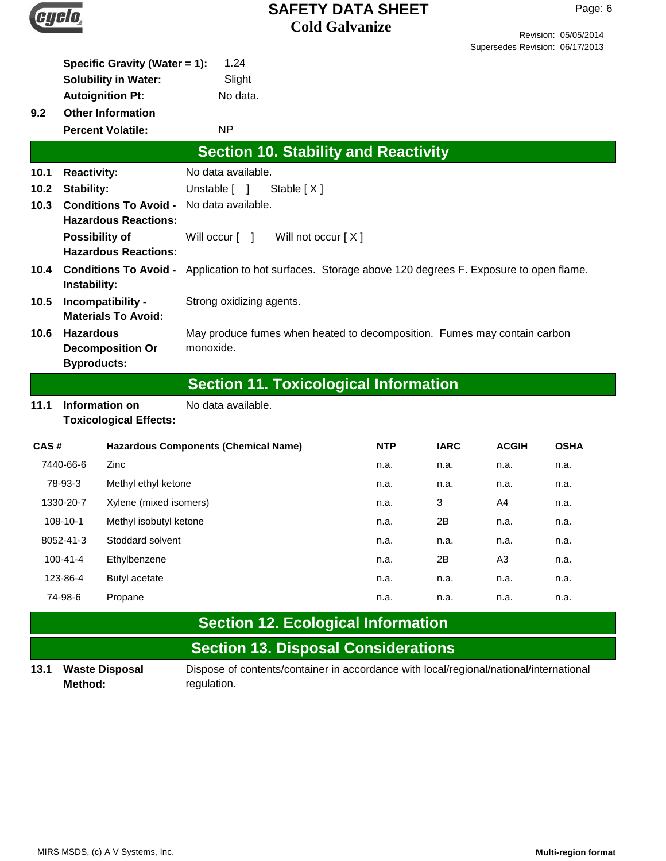

Page: 6

| 9.2                            | Specific Gravity (Water = 1):<br><b>Solubility in Water:</b><br><b>Autoignition Pt:</b><br><b>Other Information</b> | 1.24<br>Slight<br>No data.                                                             |            |             |                | Ouperseas Revision. 00/17/2013 |
|--------------------------------|---------------------------------------------------------------------------------------------------------------------|----------------------------------------------------------------------------------------|------------|-------------|----------------|--------------------------------|
|                                | <b>Percent Volatile:</b>                                                                                            | <b>NP</b>                                                                              |            |             |                |                                |
|                                |                                                                                                                     | <b>Section 10. Stability and Reactivity</b>                                            |            |             |                |                                |
| 10.1                           | <b>Reactivity:</b>                                                                                                  | No data available.                                                                     |            |             |                |                                |
| 10.2                           | <b>Stability:</b>                                                                                                   | Unstable [ ]<br>Stable [X]                                                             |            |             |                |                                |
| 10.3                           | <b>Conditions To Avoid -</b><br><b>Hazardous Reactions:</b>                                                         | No data available.                                                                     |            |             |                |                                |
|                                | <b>Possibility of</b><br><b>Hazardous Reactions:</b>                                                                | Will occur [ ]<br>Will not occur [X]                                                   |            |             |                |                                |
| 10.4                           | <b>Conditions To Avoid -</b><br>Instability:                                                                        | Application to hot surfaces. Storage above 120 degrees F. Exposure to open flame.      |            |             |                |                                |
| 10.5                           | Incompatibility -<br><b>Materials To Avoid:</b>                                                                     | Strong oxidizing agents.                                                               |            |             |                |                                |
| 10.6                           | <b>Hazardous</b><br><b>Decomposition Or</b><br><b>Byproducts:</b>                                                   | May produce fumes when heated to decomposition. Fumes may contain carbon<br>monoxide.  |            |             |                |                                |
|                                |                                                                                                                     | <b>Section 11. Toxicological Information</b>                                           |            |             |                |                                |
| 11.1                           | No data available.<br>Information on<br><b>Toxicological Effects:</b>                                               |                                                                                        |            |             |                |                                |
| CAS#                           |                                                                                                                     | <b>Hazardous Components (Chemical Name)</b>                                            | <b>NTP</b> | <b>IARC</b> | <b>ACGIH</b>   | <b>OSHA</b>                    |
|                                | 7440-66-6<br>Zinc                                                                                                   |                                                                                        | n.a.       | n.a.        | n.a.           | n.a.                           |
|                                | 78-93-3<br>Methyl ethyl ketone                                                                                      |                                                                                        | n.a.       | n.a.        | n.a.           | n.a.                           |
|                                | Xylene (mixed isomers)<br>1330-20-7                                                                                 |                                                                                        | n.a.       | 3           | A4             | n.a.                           |
|                                | 108-10-1<br>Methyl isobutyl ketone                                                                                  |                                                                                        | n.a.       | 2Β          | n.a.           | n.a.                           |
| 8052-41-3<br>Stoddard solvent  |                                                                                                                     |                                                                                        | n.a.       | n.a.        | n.a.           | n.a.                           |
| $100 - 41 - 4$<br>Ethylbenzene |                                                                                                                     |                                                                                        | n.a.       | 2B          | A <sub>3</sub> | n.a.                           |
| 123-86-4<br>Butyl acetate      |                                                                                                                     |                                                                                        | n.a.       | n.a.        | n.a.           | n.a.                           |
|                                | 74-98-6<br>Propane                                                                                                  |                                                                                        | n.a.       | n.a.        | n.a.           | n.a.                           |
|                                |                                                                                                                     | <b>Section 12. Ecological Information</b>                                              |            |             |                |                                |
|                                |                                                                                                                     | <b>Section 13. Disposal Considerations</b>                                             |            |             |                |                                |
|                                | 131 Waste Disnosal                                                                                                  | Dispose of contents/container in accordance with local/regional/national/international |            |             |                |                                |

**Waste Disposal Method:**

**13.1 Waste Disposal Bill** Dispose of contents/container in accordance with local/regional/national/international regulation.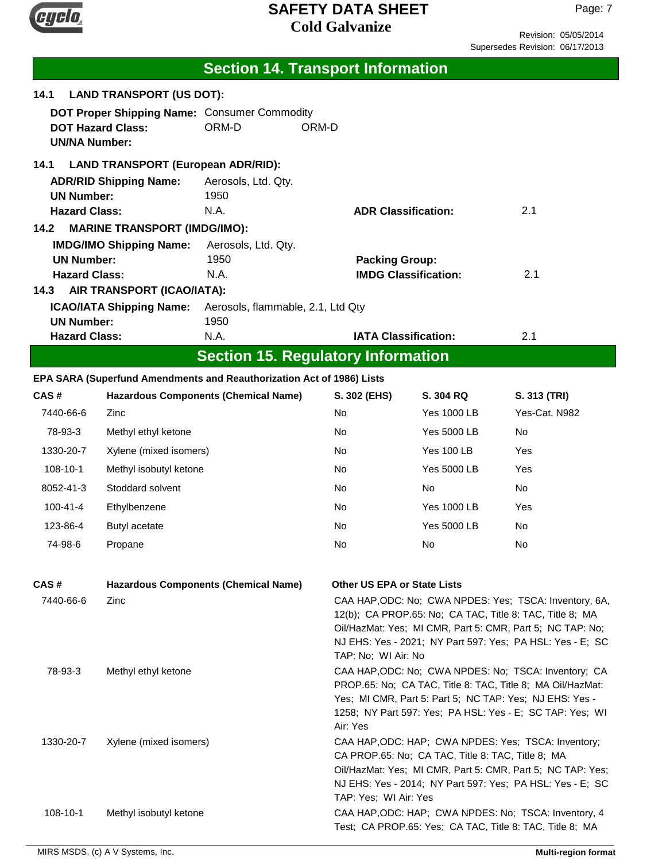

Revision: 05/05/2014 Supersedes Revision: 06/17/2013

|                                                                          |                                           | <b>Section 14. Transport Information</b>                              |                                                                                                                                                                                                                                                              |                                                                                                                                                                                                                                              |                                                                                                                  |
|--------------------------------------------------------------------------|-------------------------------------------|-----------------------------------------------------------------------|--------------------------------------------------------------------------------------------------------------------------------------------------------------------------------------------------------------------------------------------------------------|----------------------------------------------------------------------------------------------------------------------------------------------------------------------------------------------------------------------------------------------|------------------------------------------------------------------------------------------------------------------|
| 14.1                                                                     | <b>LAND TRANSPORT (US DOT):</b>           |                                                                       |                                                                                                                                                                                                                                                              |                                                                                                                                                                                                                                              |                                                                                                                  |
| <b>UN/NA Number:</b>                                                     | <b>DOT Hazard Class:</b>                  | DOT Proper Shipping Name: Consumer Commodity<br>ORM-D                 | ORM-D                                                                                                                                                                                                                                                        |                                                                                                                                                                                                                                              |                                                                                                                  |
| 14.1                                                                     | <b>LAND TRANSPORT (European ADR/RID):</b> |                                                                       |                                                                                                                                                                                                                                                              |                                                                                                                                                                                                                                              |                                                                                                                  |
|                                                                          | <b>ADR/RID Shipping Name:</b>             | Aerosols, Ltd. Qty.                                                   |                                                                                                                                                                                                                                                              |                                                                                                                                                                                                                                              |                                                                                                                  |
| <b>UN Number:</b>                                                        |                                           | 1950                                                                  |                                                                                                                                                                                                                                                              |                                                                                                                                                                                                                                              |                                                                                                                  |
| <b>Hazard Class:</b>                                                     |                                           | N.A.                                                                  | <b>ADR Classification:</b>                                                                                                                                                                                                                                   |                                                                                                                                                                                                                                              | 2.1                                                                                                              |
| 14.2                                                                     | <b>MARINE TRANSPORT (IMDG/IMO):</b>       |                                                                       |                                                                                                                                                                                                                                                              |                                                                                                                                                                                                                                              |                                                                                                                  |
| <b>UN Number:</b>                                                        | <b>IMDG/IMO Shipping Name:</b>            | Aerosols, Ltd. Qty.<br>1950                                           |                                                                                                                                                                                                                                                              |                                                                                                                                                                                                                                              |                                                                                                                  |
| <b>Hazard Class:</b>                                                     |                                           | N.A.                                                                  | <b>Packing Group:</b>                                                                                                                                                                                                                                        | <b>IMDG Classification:</b>                                                                                                                                                                                                                  | 2.1                                                                                                              |
| 14.3                                                                     | AIR TRANSPORT (ICAO/IATA):                |                                                                       |                                                                                                                                                                                                                                                              |                                                                                                                                                                                                                                              |                                                                                                                  |
|                                                                          | <b>ICAO/IATA Shipping Name:</b>           | Aerosols, flammable, 2.1, Ltd Qty                                     |                                                                                                                                                                                                                                                              |                                                                                                                                                                                                                                              |                                                                                                                  |
| <b>UN Number:</b>                                                        |                                           | 1950                                                                  |                                                                                                                                                                                                                                                              |                                                                                                                                                                                                                                              |                                                                                                                  |
| <b>Hazard Class:</b>                                                     |                                           | N.A.                                                                  | <b>IATA Classification:</b>                                                                                                                                                                                                                                  |                                                                                                                                                                                                                                              | 2.1                                                                                                              |
|                                                                          |                                           | <b>Section 15. Regulatory Information</b>                             |                                                                                                                                                                                                                                                              |                                                                                                                                                                                                                                              |                                                                                                                  |
|                                                                          |                                           | EPA SARA (Superfund Amendments and Reauthorization Act of 1986) Lists |                                                                                                                                                                                                                                                              |                                                                                                                                                                                                                                              |                                                                                                                  |
| CAS#                                                                     |                                           | <b>Hazardous Components (Chemical Name)</b>                           | S. 302 (EHS)                                                                                                                                                                                                                                                 | S. 304 RQ                                                                                                                                                                                                                                    | S. 313 (TRI)                                                                                                     |
| 7440-66-6                                                                | Zinc                                      |                                                                       | No                                                                                                                                                                                                                                                           | <b>Yes 1000 LB</b>                                                                                                                                                                                                                           | Yes-Cat. N982                                                                                                    |
| 78-93-3                                                                  | Methyl ethyl ketone                       |                                                                       | No                                                                                                                                                                                                                                                           | <b>Yes 5000 LB</b>                                                                                                                                                                                                                           | No                                                                                                               |
| 1330-20-7                                                                | Xylene (mixed isomers)                    |                                                                       | No.                                                                                                                                                                                                                                                          | <b>Yes 100 LB</b>                                                                                                                                                                                                                            | Yes                                                                                                              |
| 108-10-1                                                                 | Methyl isobutyl ketone                    |                                                                       | No                                                                                                                                                                                                                                                           | <b>Yes 5000 LB</b>                                                                                                                                                                                                                           | Yes                                                                                                              |
| 8052-41-3                                                                | Stoddard solvent                          |                                                                       | No.                                                                                                                                                                                                                                                          | No                                                                                                                                                                                                                                           | No.                                                                                                              |
| $100 - 41 - 4$                                                           | Ethylbenzene                              |                                                                       | No                                                                                                                                                                                                                                                           | <b>Yes 1000 LB</b>                                                                                                                                                                                                                           | Yes                                                                                                              |
| 123-86-4                                                                 | Butyl acetate                             |                                                                       | No                                                                                                                                                                                                                                                           | <b>Yes 5000 LB</b>                                                                                                                                                                                                                           | No                                                                                                               |
| 74-98-6                                                                  | Propane                                   |                                                                       | No                                                                                                                                                                                                                                                           | No.                                                                                                                                                                                                                                          | No                                                                                                               |
|                                                                          |                                           |                                                                       |                                                                                                                                                                                                                                                              |                                                                                                                                                                                                                                              |                                                                                                                  |
|                                                                          |                                           |                                                                       | Other US EPA or State Lists                                                                                                                                                                                                                                  |                                                                                                                                                                                                                                              |                                                                                                                  |
| CAS#<br><b>Hazardous Components (Chemical Name)</b><br>7440-66-6<br>Zinc |                                           | TAP: No; WI Air: No                                                   |                                                                                                                                                                                                                                                              | CAA HAP, ODC: No; CWA NPDES: Yes; TSCA: Inventory, 6A,<br>12(b); CA PROP.65: No; CA TAC, Title 8: TAC, Title 8; MA<br>Oil/HazMat: Yes; MI CMR, Part 5: CMR, Part 5; NC TAP: No;<br>NJ EHS: Yes - 2021; NY Part 597: Yes; PA HSL: Yes - E; SC |                                                                                                                  |
| 78-93-3                                                                  | Methyl ethyl ketone                       |                                                                       | CAA HAP, ODC: No; CWA NPDES: No; TSCA: Inventory; CA<br>PROP.65: No; CA TAC, Title 8: TAC, Title 8; MA Oil/HazMat:<br>Yes; MI CMR, Part 5: Part 5; NC TAP: Yes; NJ EHS: Yes -<br>1258; NY Part 597: Yes; PA HSL: Yes - E; SC TAP: Yes; WI<br>Air: Yes        |                                                                                                                                                                                                                                              |                                                                                                                  |
| 1330-20-7                                                                | Xylene (mixed isomers)                    |                                                                       | CAA HAP, ODC: HAP; CWA NPDES: Yes; TSCA: Inventory;<br>CA PROP.65: No; CA TAC, Title 8: TAC, Title 8; MA<br>Oil/HazMat: Yes; MI CMR, Part 5: CMR, Part 5; NC TAP: Yes;<br>NJ EHS: Yes - 2014; NY Part 597: Yes; PA HSL: Yes - E; SC<br>TAP: Yes; WI Air: Yes |                                                                                                                                                                                                                                              |                                                                                                                  |
| 108-10-1                                                                 | Methyl isobutyl ketone                    |                                                                       |                                                                                                                                                                                                                                                              |                                                                                                                                                                                                                                              | CAA HAP, ODC: HAP; CWA NPDES: No; TSCA: Inventory, 4<br>Test; CA PROP.65: Yes; CA TAC, Title 8: TAC, Title 8; MA |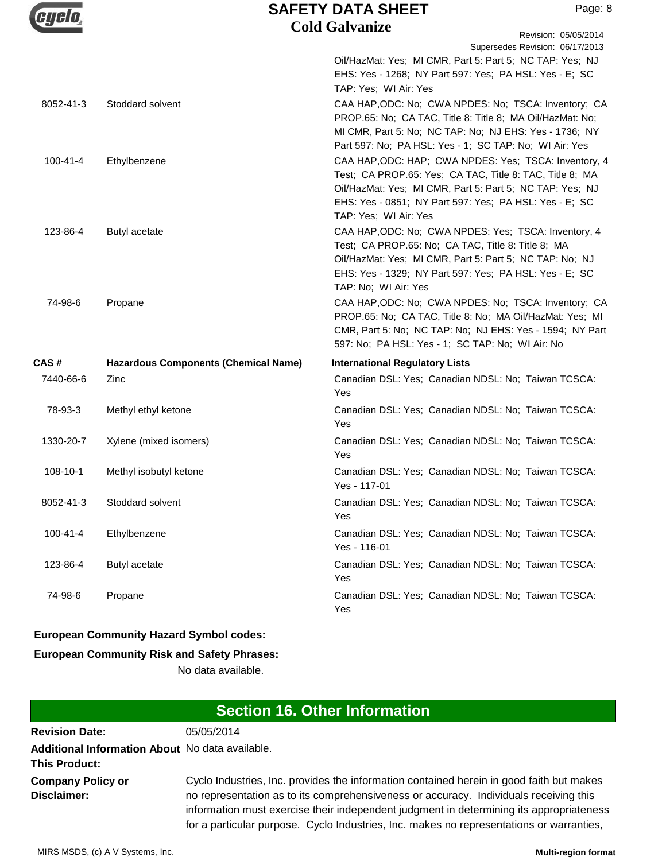|                |                                             | <b>SAFETY DATA SHEET</b><br>Page: 8                                                                                                                                                                                                                              |
|----------------|---------------------------------------------|------------------------------------------------------------------------------------------------------------------------------------------------------------------------------------------------------------------------------------------------------------------|
|                |                                             | <b>Cold Galvanize</b><br>Revision: 05/05/2014                                                                                                                                                                                                                    |
|                |                                             | Supersedes Revision: 06/17/2013                                                                                                                                                                                                                                  |
|                |                                             | Oil/HazMat: Yes; MI CMR, Part 5: Part 5; NC TAP: Yes; NJ<br>EHS: Yes - 1268; NY Part 597: Yes; PA HSL: Yes - E; SC<br>TAP: Yes; WI Air: Yes                                                                                                                      |
| 8052-41-3      | Stoddard solvent                            | CAA HAP, ODC: No; CWA NPDES: No; TSCA: Inventory; CA<br>PROP.65: No; CA TAC, Title 8: Title 8; MA Oil/HazMat: No;<br>MI CMR, Part 5: No; NC TAP: No; NJ EHS: Yes - 1736; NY<br>Part 597: No; PA HSL: Yes - 1; SC TAP: No; WI Air: Yes                            |
| $100 - 41 - 4$ | Ethylbenzene                                | CAA HAP, ODC: HAP; CWA NPDES: Yes; TSCA: Inventory, 4<br>Test; CA PROP.65: Yes; CA TAC, Title 8: TAC, Title 8; MA<br>Oil/HazMat: Yes; MI CMR, Part 5: Part 5; NC TAP: Yes; NJ<br>EHS: Yes - 0851; NY Part 597: Yes; PA HSL: Yes - E; SC<br>TAP: Yes; WI Air: Yes |
| 123-86-4       | Butyl acetate                               | CAA HAP, ODC: No; CWA NPDES: Yes; TSCA: Inventory, 4<br>Test; CA PROP.65: No; CA TAC, Title 8: Title 8; MA<br>Oil/HazMat: Yes; MI CMR, Part 5: Part 5; NC TAP: No; NJ<br>EHS: Yes - 1329; NY Part 597: Yes; PA HSL: Yes - E; SC<br>TAP: No; WI Air: Yes          |
| 74-98-6        | Propane                                     | CAA HAP, ODC: No; CWA NPDES: No; TSCA: Inventory; CA<br>PROP.65: No; CA TAC, Title 8: No; MA Oil/HazMat: Yes; MI<br>CMR, Part 5: No; NC TAP: No; NJ EHS: Yes - 1594; NY Part<br>597: No; PA HSL: Yes - 1; SC TAP: No; WI Air: No                                 |
| CAS#           | <b>Hazardous Components (Chemical Name)</b> | <b>International Regulatory Lists</b>                                                                                                                                                                                                                            |
| 7440-66-6      | Zinc                                        | Canadian DSL: Yes; Canadian NDSL: No; Taiwan TCSCA:<br>Yes                                                                                                                                                                                                       |
| 78-93-3        | Methyl ethyl ketone                         | Canadian DSL: Yes; Canadian NDSL: No; Taiwan TCSCA:<br>Yes                                                                                                                                                                                                       |
| 1330-20-7      | Xylene (mixed isomers)                      | Canadian DSL: Yes; Canadian NDSL: No; Taiwan TCSCA:<br>Yes                                                                                                                                                                                                       |
| 108-10-1       | Methyl isobutyl ketone                      | Canadian DSL: Yes; Canadian NDSL: No; Taiwan TCSCA:<br>Yes - 117-01                                                                                                                                                                                              |
| 8052-41-3      | Stoddard solvent                            | Canadian DSL: Yes; Canadian NDSL: No; Taiwan TCSCA:<br>Yes                                                                                                                                                                                                       |
| $100 - 41 - 4$ | Ethylbenzene                                | Canadian DSL: Yes; Canadian NDSL: No; Taiwan TCSCA:<br>Yes - 116-01                                                                                                                                                                                              |
| 123-86-4       | Butyl acetate                               | Canadian DSL: Yes; Canadian NDSL: No; Taiwan TCSCA:<br>Yes                                                                                                                                                                                                       |
| 74-98-6        | Propane                                     | Canadian DSL: Yes; Canadian NDSL: No; Taiwan TCSCA:<br>Yes                                                                                                                                                                                                       |

## **European Community Hazard Symbol codes:**

## **European Community Risk and Safety Phrases:**

No data available.

| <b>Section 16. Other Information</b>                                    |                                                                                                                                                                                                                                                                                                                                                                          |  |
|-------------------------------------------------------------------------|--------------------------------------------------------------------------------------------------------------------------------------------------------------------------------------------------------------------------------------------------------------------------------------------------------------------------------------------------------------------------|--|
| <b>Revision Date:</b>                                                   | 05/05/2014                                                                                                                                                                                                                                                                                                                                                               |  |
| Additional Information About No data available.<br><b>This Product:</b> |                                                                                                                                                                                                                                                                                                                                                                          |  |
| <b>Company Policy or</b><br><b>Disclaimer:</b>                          | Cyclo Industries, Inc. provides the information contained herein in good faith but makes<br>no representation as to its comprehensiveness or accuracy. Individuals receiving this<br>information must exercise their independent judgment in determining its appropriateness<br>for a particular purpose. Cyclo Industries, Inc. makes no representations or warranties, |  |